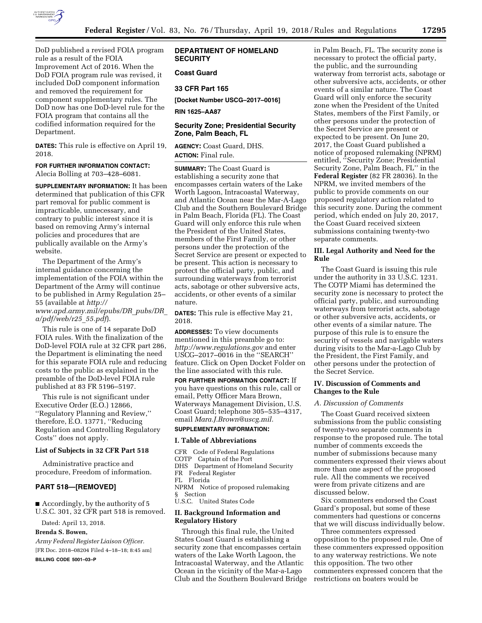

DoD published a revised FOIA program rule as a result of the FOIA Improvement Act of 2016. When the DoD FOIA program rule was revised, it included DoD component information and removed the requirement for component supplementary rules. The DoD now has one DoD-level rule for the FOIA program that contains all the codified information required for the Department.

**DATES:** This rule is effective on April 19, 2018.

#### **FOR FURTHER INFORMATION CONTACT:**

Alecia Bolling at 703–428–6081.

**SUPPLEMENTARY INFORMATION:** It has been determined that publication of this CFR part removal for public comment is impracticable, unnecessary, and contrary to public interest since it is based on removing Army's internal policies and procedures that are publically available on the Army's website.

The Department of the Army's internal guidance concerning the implementation of the FOIA within the Department of the Army will continue to be published in Army Regulation 25– 55 (available at *[http://](http://www.apd.army.mil/epubs/DR_pubs/DR_a/pdf/web/r25_55.pdf) [www.apd.army.mil/epubs/DR](http://www.apd.army.mil/epubs/DR_pubs/DR_a/pdf/web/r25_55.pdf)*\_*pubs/DR*\_ *[a/pdf/web/r25](http://www.apd.army.mil/epubs/DR_pubs/DR_a/pdf/web/r25_55.pdf)*\_*55.pdf*).

This rule is one of 14 separate DoD FOIA rules. With the finalization of the DoD-level FOIA rule at 32 CFR part 286, the Department is eliminating the need for this separate FOIA rule and reducing costs to the public as explained in the preamble of the DoD-level FOIA rule published at 83 FR 5196–5197.

This rule is not significant under Executive Order (E.O.) 12866, ''Regulatory Planning and Review,'' therefore, E.O. 13771, ''Reducing Regulation and Controlling Regulatory Costs'' does not apply.

### **List of Subjects in 32 CFR Part 518**

Administrative practice and procedure, Freedom of information.

# **PART 518—[REMOVED]**

■ Accordingly, by the authority of 5 U.S.C. 301, 32 CFR part 518 is removed.

Dated: April 13, 2018.

### **Brenda S. Bowen,**

*Army Federal Register Liaison Officer.*  [FR Doc. 2018–08204 Filed 4–18–18; 8:45 am]

**BILLING CODE 5001–03–P** 

# **DEPARTMENT OF HOMELAND SECURITY**

# **Coast Guard**

# **33 CFR Part 165**

**[Docket Number USCG–2017–0016]** 

**RIN 1625–AA87** 

# **Security Zone; Presidential Security Zone, Palm Beach, FL**

**AGENCY:** Coast Guard, DHS. **ACTION:** Final rule.

**SUMMARY:** The Coast Guard is establishing a security zone that encompasses certain waters of the Lake Worth Lagoon, Intracoastal Waterway, and Atlantic Ocean near the Mar-A-Lago Club and the Southern Boulevard Bridge in Palm Beach, Florida (FL). The Coast Guard will only enforce this rule when the President of the United States, members of the First Family, or other persons under the protection of the Secret Service are present or expected to be present. This action is necessary to protect the official party, public, and surrounding waterways from terrorist acts, sabotage or other subversive acts, accidents, or other events of a similar nature.

**DATES:** This rule is effective May 21, 2018.

**ADDRESSES:** To view documents mentioned in this preamble go to: *<http://www.regulations.gov>* and enter USCG–2017–0016 in the ''SEARCH'' feature. Click on Open Docket Folder on the line associated with this rule.

**FOR FURTHER INFORMATION CONTACT:** If you have questions on this rule, call or email, Petty Officer Mara Brown, Waterways Management Division, U.S. Coast Guard; telephone 305–535–4317, email *[Mara.J.Brown@uscg.mil.](mailto:Mara.J.Brown@uscg.mil)* 

# **SUPPLEMENTARY INFORMATION:**

### **I. Table of Abbreviations**

CFR Code of Federal Regulations COTP Captain of the Port DHS Department of Homeland Security FR Federal Register FL Florida NPRM Notice of proposed rulemaking § Section U.S.C. United States Code **II. Background Information and Regulatory History** 

Through this final rule, the United States Coast Guard is establishing a security zone that encompasses certain waters of the Lake Worth Lagoon, the Intracoastal Waterway, and the Atlantic Ocean in the vicinity of the Mar-a-Lago Club and the Southern Boulevard Bridge

in Palm Beach, FL. The security zone is necessary to protect the official party, the public, and the surrounding waterway from terrorist acts, sabotage or other subversive acts, accidents, or other events of a similar nature. The Coast Guard will only enforce the security zone when the President of the United States, members of the First Family, or other persons under the protection of the Secret Service are present or expected to be present. On June 20, 2017, the Coast Guard published a notice of proposed rulemaking (NPRM) entitled, ''Security Zone; Presidential Security Zone, Palm Beach, FL'' in the **Federal Register** (82 FR 28036). In the NPRM, we invited members of the public to provide comments on our proposed regulatory action related to this security zone. During the comment period, which ended on July 20, 2017, the Coast Guard received sixteen submissions containing twenty-two separate comments.

# **III. Legal Authority and Need for the Rule**

The Coast Guard is issuing this rule under the authority in 33 U.S.C. 1231. The COTP Miami has determined the security zone is necessary to protect the official party, public, and surrounding waterways from terrorist acts, sabotage or other subversive acts, accidents, or other events of a similar nature. The purpose of this rule is to ensure the security of vessels and navigable waters during visits to the Mar-a-Lago Club by the President, the First Family, and other persons under the protection of the Secret Service.

# **IV. Discussion of Comments and Changes to the Rule**

#### *A. Discussion of Comments*

The Coast Guard received sixteen submissions from the public consisting of twenty-two separate comments in response to the proposed rule. The total number of comments exceeds the number of submissions because many commenters expressed their views about more than one aspect of the proposed rule. All the comments we received were from private citizens and are discussed below.

Six commenters endorsed the Coast Guard's proposal, but some of these commenters had questions or concerns that we will discuss individually below.

Three commenters expressed opposition to the proposed rule. One of these commenters expressed opposition to any waterway restrictions. We note this opposition. The two other commenters expressed concern that the restrictions on boaters would be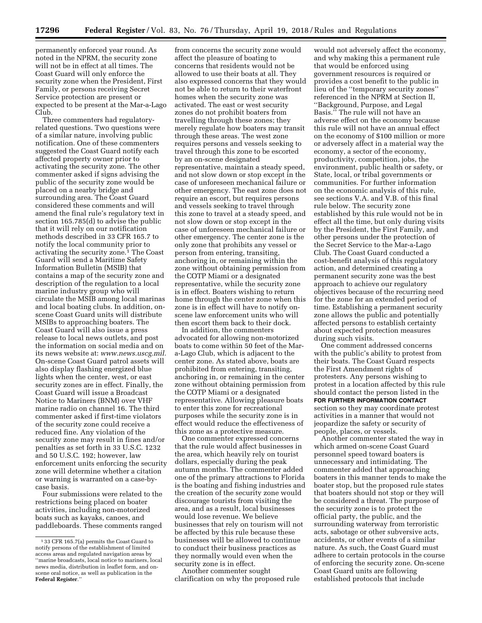permanently enforced year round. As noted in the NPRM, the security zone will not be in effect at all times. The Coast Guard will only enforce the security zone when the President, First Family, or persons receiving Secret Service protection are present or expected to be present at the Mar-a-Lago Club.

Three commenters had regulatoryrelated questions. Two questions were of a similar nature, involving public notification. One of these commenters suggested the Coast Guard notify each affected property owner prior to activating the security zone. The other commenter asked if signs advising the public of the security zone would be placed on a nearby bridge and surrounding area. The Coast Guard considered these comments and will amend the final rule's regulatory text in section 165.785(d) to advise the public that it will rely on our notification methods described in 33 CFR 165.7 to notify the local community prior to activating the security zone.1 The Coast Guard will send a Maritime Safety Information Bulletin (MSIB) that contains a map of the security zone and description of the regulation to a local marine industry group who will circulate the MSIB among local marinas and local boating clubs. In addition, onscene Coast Guard units will distribute MSIBs to approaching boaters. The Coast Guard will also issue a press release to local news outlets, and post the information on social media and on its news website at: *[www.news.uscg.mil.](http://www.news.uscg.mil)*  On-scene Coast Guard patrol assets will also display flashing energized blue lights when the center, west, or east security zones are in effect. Finally, the Coast Guard will issue a Broadcast Notice to Mariners (BNM) over VHF marine radio on channel 16. The third commenter asked if first-time violators of the security zone could receive a reduced fine. Any violation of the security zone may result in fines and/or penalties as set forth in 33 U.S.C. 1232 and 50 U.S.C. 192; however, law enforcement units enforcing the security zone will determine whether a citation or warning is warranted on a case-bycase basis.

Four submissions were related to the restrictions being placed on boater activities, including non-motorized boats such as kayaks, canoes, and paddleboards. These comments ranged

from concerns the security zone would affect the pleasure of boating to concerns that residents would not be allowed to use their boats at all. They also expressed concerns that they would not be able to return to their waterfront homes when the security zone was activated. The east or west security zones do not prohibit boaters from travelling through these zones; they merely regulate how boaters may transit through these areas. The west zone requires persons and vessels seeking to travel through this zone to be escorted by an on-scene designated representative, maintain a steady speed, and not slow down or stop except in the case of unforeseen mechanical failure or other emergency. The east zone does not require an escort, but requires persons and vessels seeking to travel through this zone to travel at a steady speed, and not slow down or stop except in the case of unforeseen mechanical failure or other emergency. The center zone is the only zone that prohibits any vessel or person from entering, transiting, anchoring in, or remaining within the zone without obtaining permission from the COTP Miami or a designated representative, while the security zone is in effect. Boaters wishing to return home through the center zone when this zone is in effect will have to notify onscene law enforcement units who will then escort them back to their dock.

In addition, the commenters advocated for allowing non-motorized boats to come within 50 feet of the Mara-Lago Club, which is adjacent to the center zone. As stated above, boats are prohibited from entering, transiting, anchoring in, or remaining in the center zone without obtaining permission from the COTP Miami or a designated representative. Allowing pleasure boats to enter this zone for recreational purposes while the security zone is in effect would reduce the effectiveness of this zone as a protective measure.

One commenter expressed concerns that the rule would affect businesses in the area, which heavily rely on tourist dollars, especially during the peak autumn months. The commenter added one of the primary attractions to Florida is the boating and fishing industries and the creation of the security zone would discourage tourists from visiting the area, and as a result, local businesses would lose revenue. We believe businesses that rely on tourism will not be affected by this rule because these businesses will be allowed to continue to conduct their business practices as they normally would even when the security zone is in effect.

Another commenter sought clarification on why the proposed rule

would not adversely affect the economy, and why making this a permanent rule that would be enforced using government resources is required or provides a cost benefit to the public in lieu of the ''temporary security zones'' referenced in the NPRM at Section II, ''Background, Purpose, and Legal Basis.'' The rule will not have an adverse effect on the economy because this rule will not have an annual effect on the economy of \$100 million or more or adversely affect in a material way the economy, a sector of the economy, productivity, competition, jobs, the environment, public health or safety, or State, local, or tribal governments or communities. For further information on the economic analysis of this rule, see sections V.A. and V.B. of this final rule below. The security zone established by this rule would not be in effect all the time, but only during visits by the President, the First Family, and other persons under the protection of the Secret Service to the Mar-a-Lago Club. The Coast Guard conducted a cost-benefit analysis of this regulatory action, and determined creating a permanent security zone was the best approach to achieve our regulatory objectives because of the recurring need for the zone for an extended period of time. Establishing a permanent security zone allows the public and potentially affected persons to establish certainty about expected protection measures during such visits.

One comment addressed concerns with the public's ability to protest from their boats. The Coast Guard respects the First Amendment rights of protesters. Any persons wishing to protest in a location affected by this rule should contact the person listed in the **FOR FURTHER INFORMATION CONTACT** section so they may coordinate protest activities in a manner that would not jeopardize the safety or security of people, places, or vessels.

Another commenter stated the way in which armed on-scene Coast Guard personnel speed toward boaters is unnecessary and intimidating. The commenter added that approaching boaters in this manner tends to make the boater stop, but the proposed rule states that boaters should not stop or they will be considered a threat. The purpose of the security zone is to protect the official party, the public, and the surrounding waterway from terroristic acts, sabotage or other subversive acts, accidents, or other events of a similar nature. As such, the Coast Guard must adhere to certain protocols in the course of enforcing the security zone. On-scene Coast Guard units are following established protocols that include

<sup>1</sup> 33 CFR 165.7(a) permits the Coast Guard to notify persons of the establishment of limited access areas and regulated navigation areas by ''marine broadcasts, local notice to mariners, local news media, distribution in leaflet form, and onscene oral notice, as well as publication in the **Federal Register**.''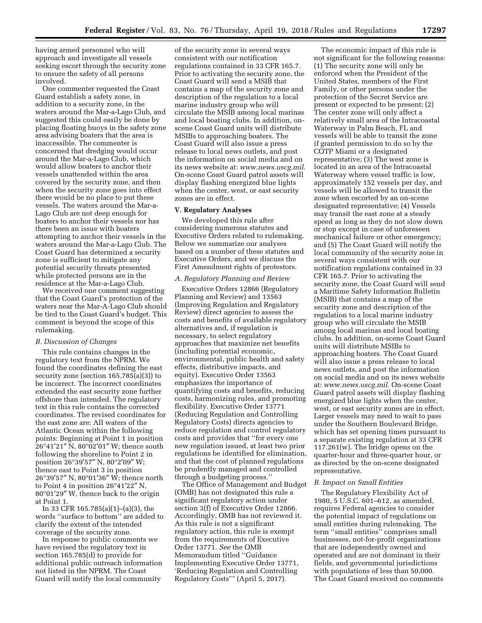having armed personnel who will approach and investigate all vessels seeking escort through the security zone to ensure the safety of all persons involved.

One commenter requested the Coast Guard establish a safety zone, in addition to a security zone, in the waters around the Mar-a-Lago Club, and suggested this could easily be done by placing floating buoys in the safety zone area advising boaters that the area is inaccessible. The commenter is concerned that dredging would occur around the Mar-a-Lago Club, which would allow boaters to anchor their vessels unattended within the area covered by the security zone, and then when the security zone goes into effect there would be no place to put these vessels. The waters around the Mar-a-Lago Club are not deep enough for boaters to anchor their vessels nor has there been an issue with boaters attempting to anchor their vessels in the waters around the Mar-a-Lago Club. The Coast Guard has determined a security zone is sufficient to mitigate any potential security threats presented while protected persons are in the residence at the Mar-a-Lago Club.

We received one comment suggesting that the Coast Guard's protection of the waters near the Mar-A-Lago Club should be tied to the Coast Guard's budget. This comment is beyond the scope of this rulemaking.

### *B. Discussion of Changes*

This rule contains changes in the regulatory text from the NPRM. We found the coordinates defining the east security zone (section 165.785(a)(3)) to be incorrect. The incorrect coordinates extended the east security zone further offshore than intended. The regulatory text in this rule contains the corrected coordinates. The revised coordinates for the east zone are: All waters of the Atlantic Ocean within the following points: Beginning at Point 1 in position 26°41′21″ N, 80°02′01″ W; thence south following the shoreline to Point 2 in position 26°39′57″ N, 80°2′09″ W; thence east to Point 3 in position 26°39′57″ N, 80°01′36″ W; thence north to Point 4 in position 26°41′22″ N, 80°01′29″ W, thence back to the origin at Point 1.

In 33 CFR 165.785(a)(1)–(a)(3), the words ''surface to bottom'' are added to clarify the extent of the intended coverage of the security zone.

In response to public comments we have revised the regulatory text in section 165.785(d) to provide for additional public outreach information not listed in the NPRM. The Coast Guard will notify the local community

of the security zone in several ways consistent with our notification regulations contained in 33 CFR 165.7. Prior to activating the security zone, the Coast Guard will send a MSIB that contains a map of the security zone and description of the regulation to a local marine industry group who will circulate the MSIB among local marinas and local boating clubs. In addition, onscene Coast Guard units will distribute MSIBs to approaching boaters. The Coast Guard will also issue a press release to local news outlets, and post the information on social media and on its news website at: *[www.news.uscg.mil.](http://www.news.uscg.mil)*  On-scene Coast Guard patrol assets will display flashing energized blue lights when the center, west, or east security zones are in effect.

# **V. Regulatory Analyses**

We developed this rule after considering numerous statutes and Executive Orders related to rulemaking. Below we summarize our analyses based on a number of these statutes and Executive Orders, and we discuss the First Amendment rights of protestors.

### *A. Regulatory Planning and Review*

Executive Orders 12866 (Regulatory Planning and Review) and 13563 (Improving Regulation and Regulatory Review) direct agencies to assess the costs and benefits of available regulatory alternatives and, if regulation is necessary, to select regulatory approaches that maximize net benefits (including potential economic, environmental, public health and safety effects, distributive impacts, and equity). Executive Order 13563 emphasizes the importance of quantifying costs and benefits, reducing costs, harmonizing rules, and promoting flexibility. Executive Order 13771 (Reducing Regulation and Controlling Regulatory Costs) directs agencies to reduce regulation and control regulatory costs and provides that ''for every one new regulation issued, at least two prior regulations be identified for elimination, and that the cost of planned regulations be prudently managed and controlled through a budgeting process.''

The Office of Management and Budget (OMB) has not designated this rule a significant regulatory action under section 3(f) of Executive Order 12866. Accordingly, OMB has not reviewed it. As this rule is not a significant regulatory action, this rule is exempt from the requirements of Executive Order 13771. *See* the OMB Memorandum titled ''Guidance Implementing Executive Order 13771, 'Reducing Regulation and Controlling Regulatory Costs''' (April 5, 2017).

The economic impact of this rule is not significant for the following reasons: (1) The security zone will only be enforced when the President of the United States, members of the First Family, or other persons under the protection of the Secret Service are present or expected to be present; (2) The center zone will only affect a relatively small area of the Intracoastal Waterway in Palm Beach, FL and vessels will be able to transit the zone if granted permission to do so by the COTP Miami or a designated representative; (3) The west zone is located in an area of the Intracoastal Waterway where vessel traffic is low, approximately 152 vessels per day, and vessels will be allowed to transit the zone when escorted by an on-scene designated representative; (4) Vessels may transit the east zone at a steady speed as long as they do not slow down or stop except in case of unforeseen mechanical failure or other emergency; and (5) The Coast Guard will notify the local community of the security zone in several ways consistent with our notification regulations contained in 33 CFR 165.7. Prior to activating the security zone, the Coast Guard will send a Maritime Safety Information Bulletin (MSIB) that contains a map of the security zone and description of the regulation to a local marine industry group who will circulate the MSIB among local marinas and local boating clubs. In addition, on-scene Coast Guard units will distribute MSIBs to approaching boaters. The Coast Guard will also issue a press release to local news outlets, and post the information on social media and on its news website at: *[www.news.uscg.mil.](http://www.news.uscg.mil)* On-scene Coast Guard patrol assets will display flashing energized blue lights when the center, west, or east security zones are in effect. Larger vessels may need to wait to pass under the Southern Boulevard Bridge, which has set opening times pursuant to a separate existing regulation at 33 CFR 117.261(w). The bridge opens on the quarter-hour and three-quarter hour, or as directed by the on-scene designated representative.

#### *B. Impact on Small Entities*

The Regulatory Flexibility Act of 1980, 5 U.S.C. 601–612, as amended, requires Federal agencies to consider the potential impact of regulations on small entities during rulemaking. The term ''small entities'' comprises small businesses, not-for-profit organizations that are independently owned and operated and are not dominant in their fields, and governmental jurisdictions with populations of less than 50,000. The Coast Guard received no comments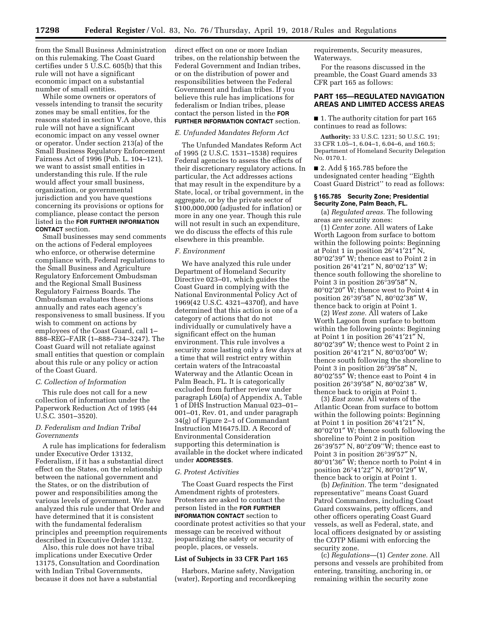from the Small Business Administration on this rulemaking. The Coast Guard certifies under 5 U.S.C. 605(b) that this rule will not have a significant economic impact on a substantial number of small entities.

While some owners or operators of vessels intending to transit the security zones may be small entities, for the reasons stated in section V.A above, this rule will not have a significant economic impact on any vessel owner or operator. Under section 213(a) of the Small Business Regulatory Enforcement Fairness Act of 1996 (Pub. L. 104–121), we want to assist small entities in understanding this rule. If the rule would affect your small business, organization, or governmental jurisdiction and you have questions concerning its provisions or options for compliance, please contact the person listed in the **FOR FURTHER INFORMATION CONTACT** section.

Small businesses may send comments on the actions of Federal employees who enforce, or otherwise determine compliance with, Federal regulations to the Small Business and Agriculture Regulatory Enforcement Ombudsman and the Regional Small Business Regulatory Fairness Boards. The Ombudsman evaluates these actions annually and rates each agency's responsiveness to small business. If you wish to comment on actions by employees of the Coast Guard, call 1– 888–REG–FAIR (1–888–734–3247). The Coast Guard will not retaliate against small entities that question or complain about this rule or any policy or action of the Coast Guard.

#### *C. Collection of Information*

This rule does not call for a new collection of information under the Paperwork Reduction Act of 1995 (44 U.S.C. 3501–3520).

# *D. Federalism and Indian Tribal Governments*

A rule has implications for federalism under Executive Order 13132, Federalism, if it has a substantial direct effect on the States, on the relationship between the national government and the States, or on the distribution of power and responsibilities among the various levels of government. We have analyzed this rule under that Order and have determined that it is consistent with the fundamental federalism principles and preemption requirements described in Executive Order 13132.

Also, this rule does not have tribal implications under Executive Order 13175, Consultation and Coordination with Indian Tribal Governments, because it does not have a substantial

direct effect on one or more Indian tribes, on the relationship between the Federal Government and Indian tribes, or on the distribution of power and responsibilities between the Federal Government and Indian tribes. If you believe this rule has implications for federalism or Indian tribes, please contact the person listed in the **FOR FURTHER INFORMATION CONTACT** section.

# *E. Unfunded Mandates Reform Act*

The Unfunded Mandates Reform Act of 1995 (2 U.S.C. 1531–1538) requires Federal agencies to assess the effects of their discretionary regulatory actions. In particular, the Act addresses actions that may result in the expenditure by a State, local, or tribal government, in the aggregate, or by the private sector of \$100,000,000 (adjusted for inflation) or more in any one year. Though this rule will not result in such an expenditure, we do discuss the effects of this rule elsewhere in this preamble.

# *F. Environment*

We have analyzed this rule under Department of Homeland Security Directive 023–01, which guides the Coast Guard in complying with the National Environmental Policy Act of 1969(42 U.S.C. 4321–4370f), and have determined that this action is one of a category of actions that do not individually or cumulatively have a significant effect on the human environment. This rule involves a security zone lasting only a few days at a time that will restrict entry within certain waters of the Intracoastal Waterway and the Atlantic Ocean in Palm Beach, FL. It is categorically excluded from further review under paragraph L60(a) of Appendix A, Table 1 of DHS Instruction Manual 023–01– 001–01, Rev. 01, and under paragraph 34(g) of Figure 2–1 of Commandant Instruction M16475.lD. A Record of Environmental Consideration supporting this determination is available in the docket where indicated under **ADDRESSES**.

### *G. Protest Activities*

The Coast Guard respects the First Amendment rights of protesters. Protesters are asked to contact the person listed in the **FOR FURTHER INFORMATION CONTACT** section to coordinate protest activities so that your message can be received without jeopardizing the safety or security of people, places, or vessels.

#### **List of Subjects in 33 CFR Part 165**

Harbors, Marine safety, Navigation (water), Reporting and recordkeeping requirements, Security measures, Waterways.

For the reasons discussed in the preamble, the Coast Guard amends 33 CFR part 165 as follows:

# **PART 165—REGULATED NAVIGATION AREAS AND LIMITED ACCESS AREAS**

■ 1. The authority citation for part 165 continues to read as follows:

**Authority:** 33 U.S.C. 1231; 50 U.S.C. 191; 33 CFR 1.05–1, 6.04–1, 6.04–6, and 160.5; Department of Homeland Security Delegation No. 0170.1.

■ 2. Add § 165.785 before the undesignated center heading ''Eighth Coast Guard District'' to read as follows:

#### **§ 165.785 Security Zone; Presidential Security Zone, Palm Beach, FL.**

(a) *Regulated areas.* The following areas are security zones:

(1) *Center zone.* All waters of Lake Worth Lagoon from surface to bottom within the following points: Beginning at Point 1 in position 26°41′21″ N, 80°02′39″ W; thence east to Point 2 in position 26°41′21″ N, 80°02′13″ W; thence south following the shoreline to Point 3 in position 26°39′58″ N, 80°02′20″ W; thence west to Point 4 in position 26°39′58″ N, 80°02′38″ W, thence back to origin at Point 1.

(2) *West zone.* All waters of Lake Worth Lagoon from surface to bottom within the following points: Beginning at Point 1 in position 26°41′21″ N, 80°02′39″ W; thence west to Point 2 in position 26°41′21″ N, 80°03′00″ W; thence south following the shoreline to Point 3 in position 26°39′58″ N, 80°02′55″ W; thence east to Point 4 in position 26°39′58″ N, 80°02′38″ W, thence back to origin at Point 1.

(3) *East zone.* All waters of the Atlantic Ocean from surface to bottom within the following points: Beginning at Point 1 in position 26°41′21″ N, 80°02′01″ W; thence south following the shoreline to Point 2 in position 26°39′57″ N, 80°2′09''W; thence east to Point 3 in position 26°39′57″ N, 80°01′36″ W; thence north to Point 4 in position 26°41′22″ N, 80°01′29″ W, thence back to origin at Point 1.

(b) *Definition.* The term ''designated representative'' means Coast Guard Patrol Commanders, including Coast Guard coxswains, petty officers, and other officers operating Coast Guard vessels, as well as Federal, state, and local officers designated by or assisting the COTP Miami with enforcing the security zone.

(c) *Regulations*—(1) *Center zone.* All persons and vessels are prohibited from entering, transiting, anchoring in, or remaining within the security zone